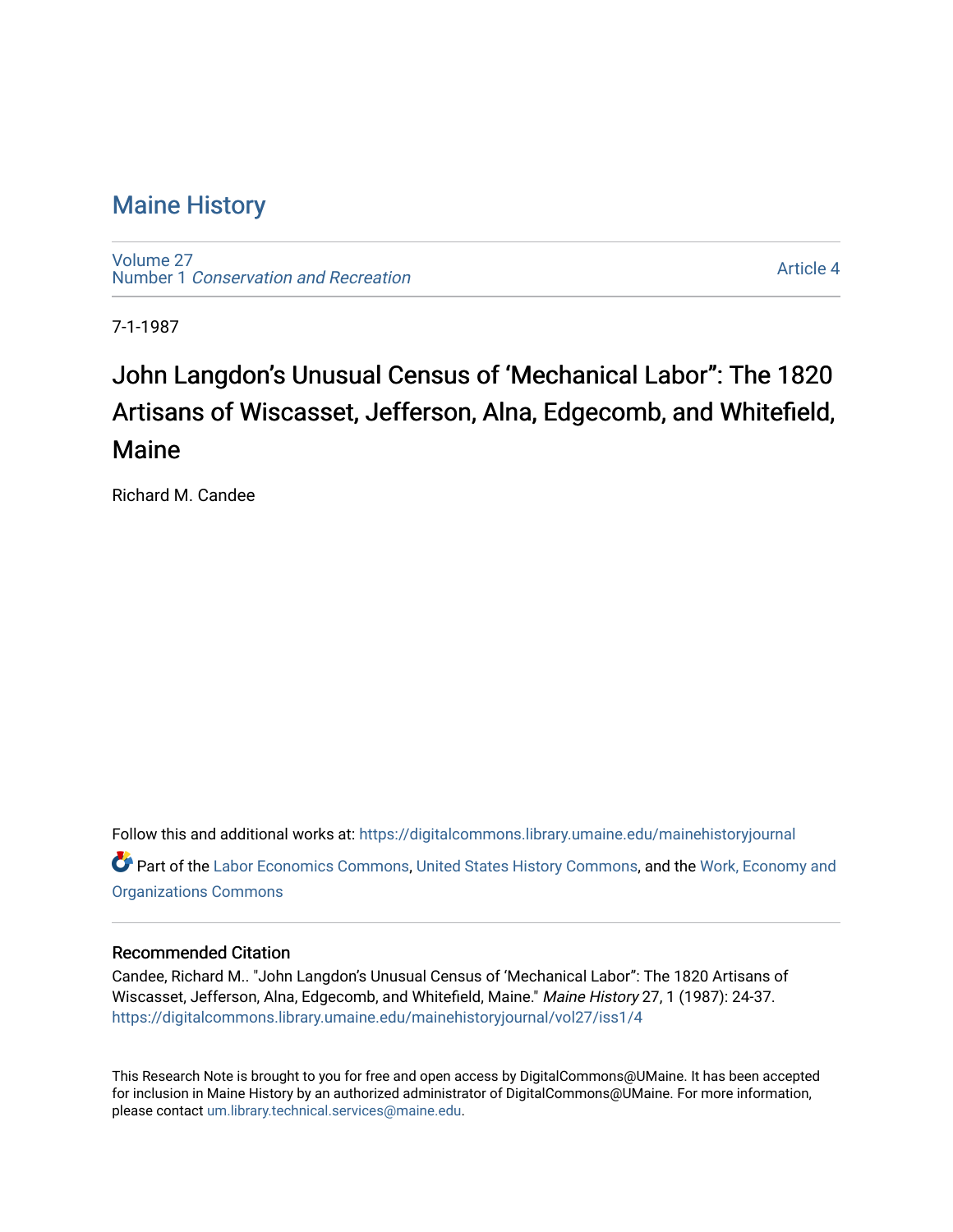## [Maine History](https://digitalcommons.library.umaine.edu/mainehistoryjournal)

[Volume 27](https://digitalcommons.library.umaine.edu/mainehistoryjournal/vol27) Number 1 [Conservation and Recreation](https://digitalcommons.library.umaine.edu/mainehistoryjournal/vol27/iss1) 

[Article 4](https://digitalcommons.library.umaine.edu/mainehistoryjournal/vol27/iss1/4) 

7-1-1987

# John Langdon's Unusual Census of 'Mechanical Labor": The 1820 Artisans of Wiscasset, Jefferson, Alna, Edgecomb, and Whitefield, Maine

Richard M. Candee

Follow this and additional works at: [https://digitalcommons.library.umaine.edu/mainehistoryjournal](https://digitalcommons.library.umaine.edu/mainehistoryjournal?utm_source=digitalcommons.library.umaine.edu%2Fmainehistoryjournal%2Fvol27%2Fiss1%2F4&utm_medium=PDF&utm_campaign=PDFCoverPages)  Part of the [Labor Economics Commons](http://network.bepress.com/hgg/discipline/349?utm_source=digitalcommons.library.umaine.edu%2Fmainehistoryjournal%2Fvol27%2Fiss1%2F4&utm_medium=PDF&utm_campaign=PDFCoverPages), [United States History Commons,](http://network.bepress.com/hgg/discipline/495?utm_source=digitalcommons.library.umaine.edu%2Fmainehistoryjournal%2Fvol27%2Fiss1%2F4&utm_medium=PDF&utm_campaign=PDFCoverPages) and the [Work, Economy and](http://network.bepress.com/hgg/discipline/433?utm_source=digitalcommons.library.umaine.edu%2Fmainehistoryjournal%2Fvol27%2Fiss1%2F4&utm_medium=PDF&utm_campaign=PDFCoverPages)  [Organizations Commons](http://network.bepress.com/hgg/discipline/433?utm_source=digitalcommons.library.umaine.edu%2Fmainehistoryjournal%2Fvol27%2Fiss1%2F4&utm_medium=PDF&utm_campaign=PDFCoverPages)

#### Recommended Citation

Candee, Richard M.. "John Langdon's Unusual Census of 'Mechanical Labor": The 1820 Artisans of Wiscasset, Jefferson, Alna, Edgecomb, and Whitefield, Maine." Maine History 27, 1 (1987): 24-37. [https://digitalcommons.library.umaine.edu/mainehistoryjournal/vol27/iss1/4](https://digitalcommons.library.umaine.edu/mainehistoryjournal/vol27/iss1/4?utm_source=digitalcommons.library.umaine.edu%2Fmainehistoryjournal%2Fvol27%2Fiss1%2F4&utm_medium=PDF&utm_campaign=PDFCoverPages)

This Research Note is brought to you for free and open access by DigitalCommons@UMaine. It has been accepted for inclusion in Maine History by an authorized administrator of DigitalCommons@UMaine. For more information, please contact [um.library.technical.services@maine.edu.](mailto:um.library.technical.services@maine.edu)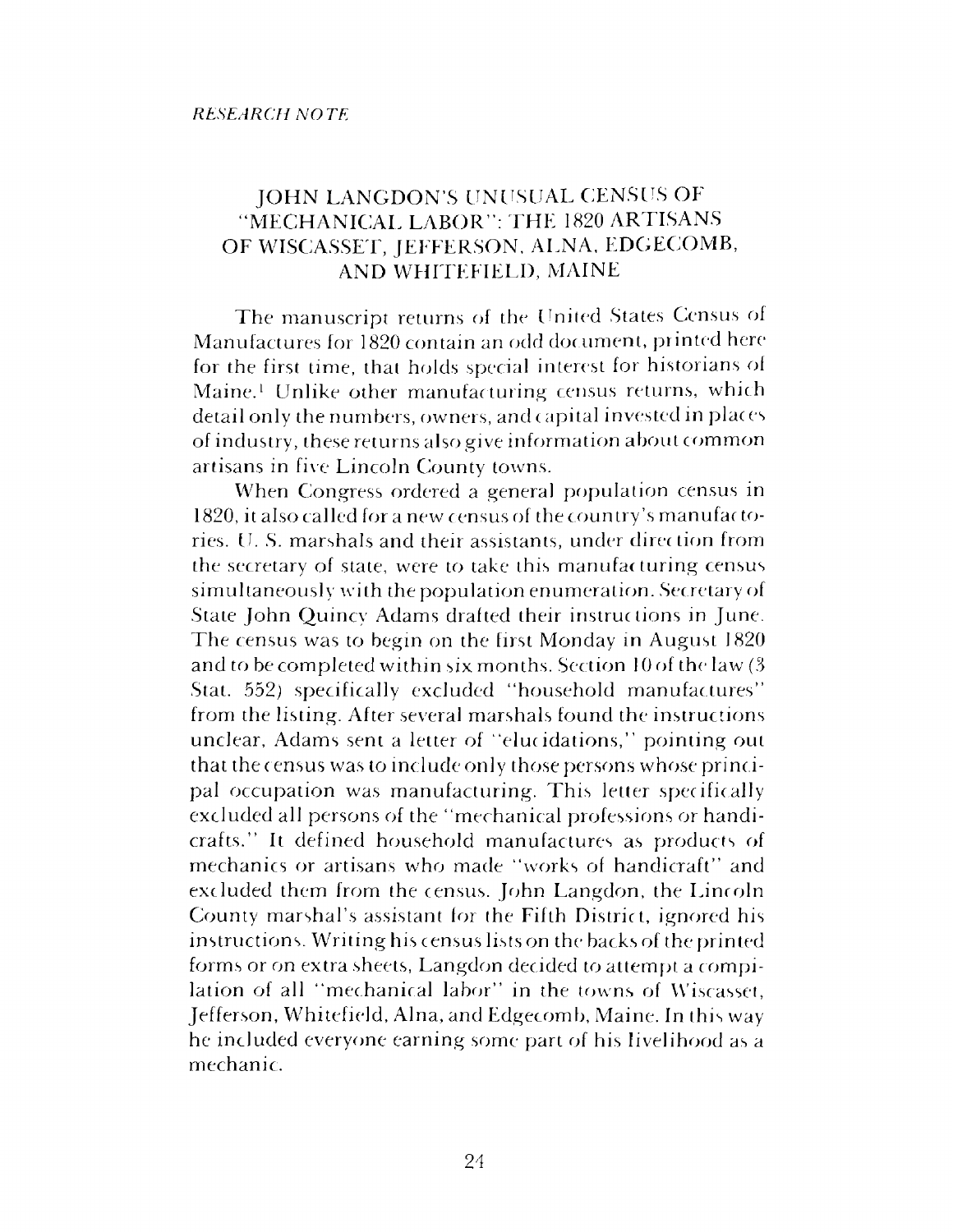### JOHN LANGDON'S UNUSUAL CENSUS OF 'MECHANICAL LABOR": THE 1820 ARTISANS OF WISCASSET, JEFFERSON, ALNA, EDGECOMB, AND WHITEFIELD, MAINE

The manuscript returns of the United States Census of Manufactures for 1820 contain an odd document, printed here for the first time, that holds special interest for historians of Maine.<sup>1</sup> Unlike other manufacturing census returns, which detail only the numbers, owners, and capital invested in places of industry, these returns also give information about common artisans in five Lincoln County towns.

When Congress ordered a general population census in 1820, it also called fora new census of the country'<sup>s</sup> manufac tories. U. S. marshals and their assistants, under direction from the secretary of state, were to take this manufacturing census simultaneously with the population enumeration. Secretary of State John Quincy Adams drafted their instructions in June. The census was to begin on the first Monday in August 1820 and to be completed within six months. Section <sup>10</sup> of th*e* law (3 Stat. 552) specifically excluded "household manufactures" from the listing. After several marshals found the instructions unclear, Adams sent a letter of "elucidations," pointing out that the census was to include only those persons whose principal occupation was manufacturing. This letter specifically excluded all persons of the "mechanical professions or handicrafts." It defined household manufactures as products of mechanics or artisans who made "works of handicraft" and excluded them from the census. John Langdon, the Lincoln County marshal'<sup>s</sup> assistant for the Fifth District, ignored his instructions. Writing his census lists on the backs of the printed forms or on extra sheets, Langdon decided to attempt a compilation of all "mechanical labor" in the towns of Wiscasset, Jefferson, Whitefield, Aina, and Edgecomb, Maine. In this way he included everyone earning some part of his livelihood as a mechanic.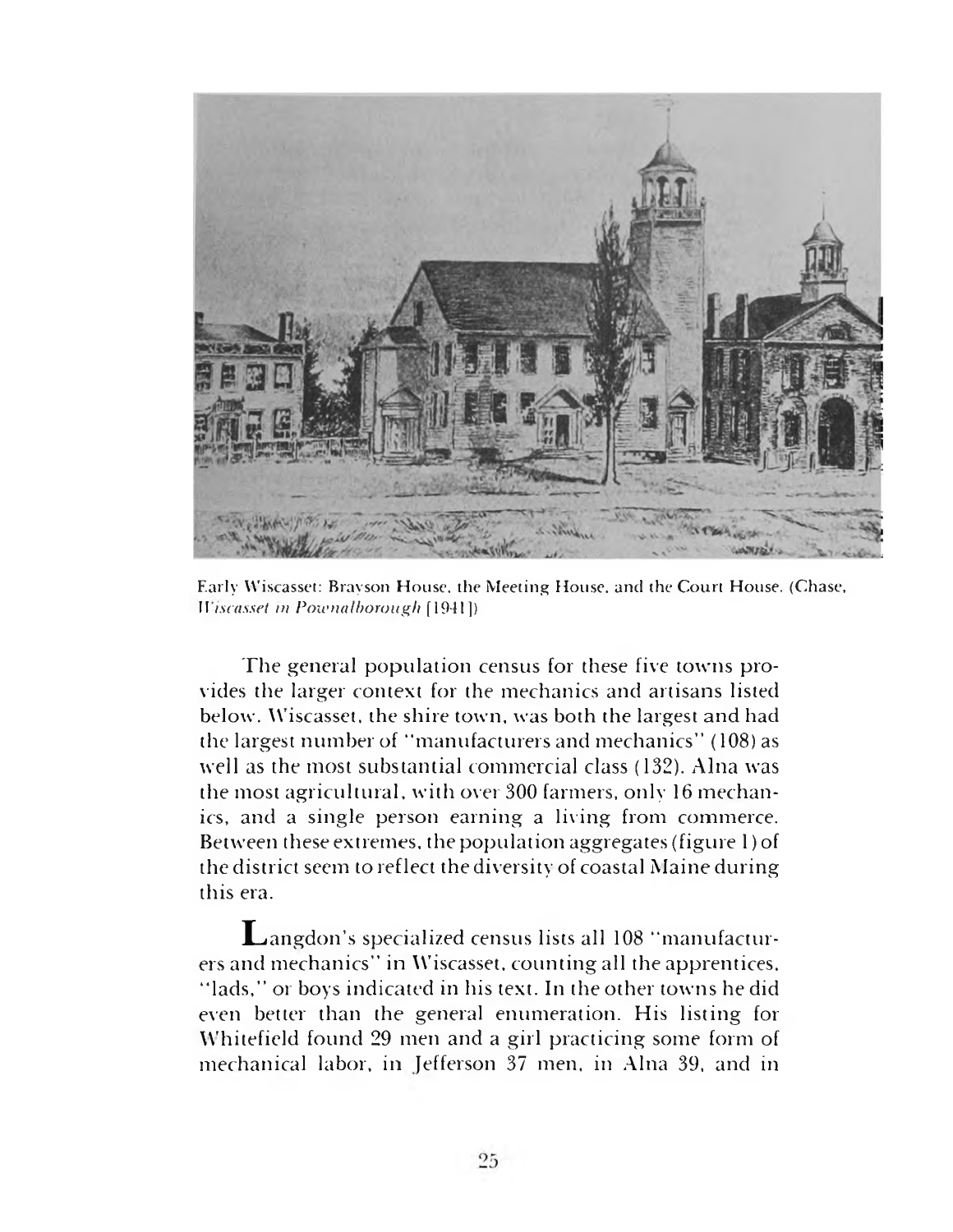

Early Wiscasset: Brayson House, the Meeting House, and the Court House. (Chase, *Wiscasset in Pownalborough* [1941])

The general population census for these five towns provides the larger context for the mechanics and artisans listed below. Wiscasset, the shire town, was both the largest and had the largest number of "manufacturers and mechanics" (108) as well as the most substantial commercial class (132). Aina was the most agricultural, with over 300 farmers, only 16 mechanics, and a single person earning a living from commerce. Between these extremes, the population aggregates (figure l)of the district seem to reflect the diversity of coastal Maine during this era.

Langdon'<sup>s</sup> specialized census lists all <sup>108</sup> "manufacturers and mechanics" in Wiscasset, countingall the apprentices, "lads," or boys indicated in his text. In the other towns he did even better than the general enumeration. His listing for Whitefield found 29 men and a girl practicing some form of mechanical labor, in Jefferson 37 men, in Aina 39, and in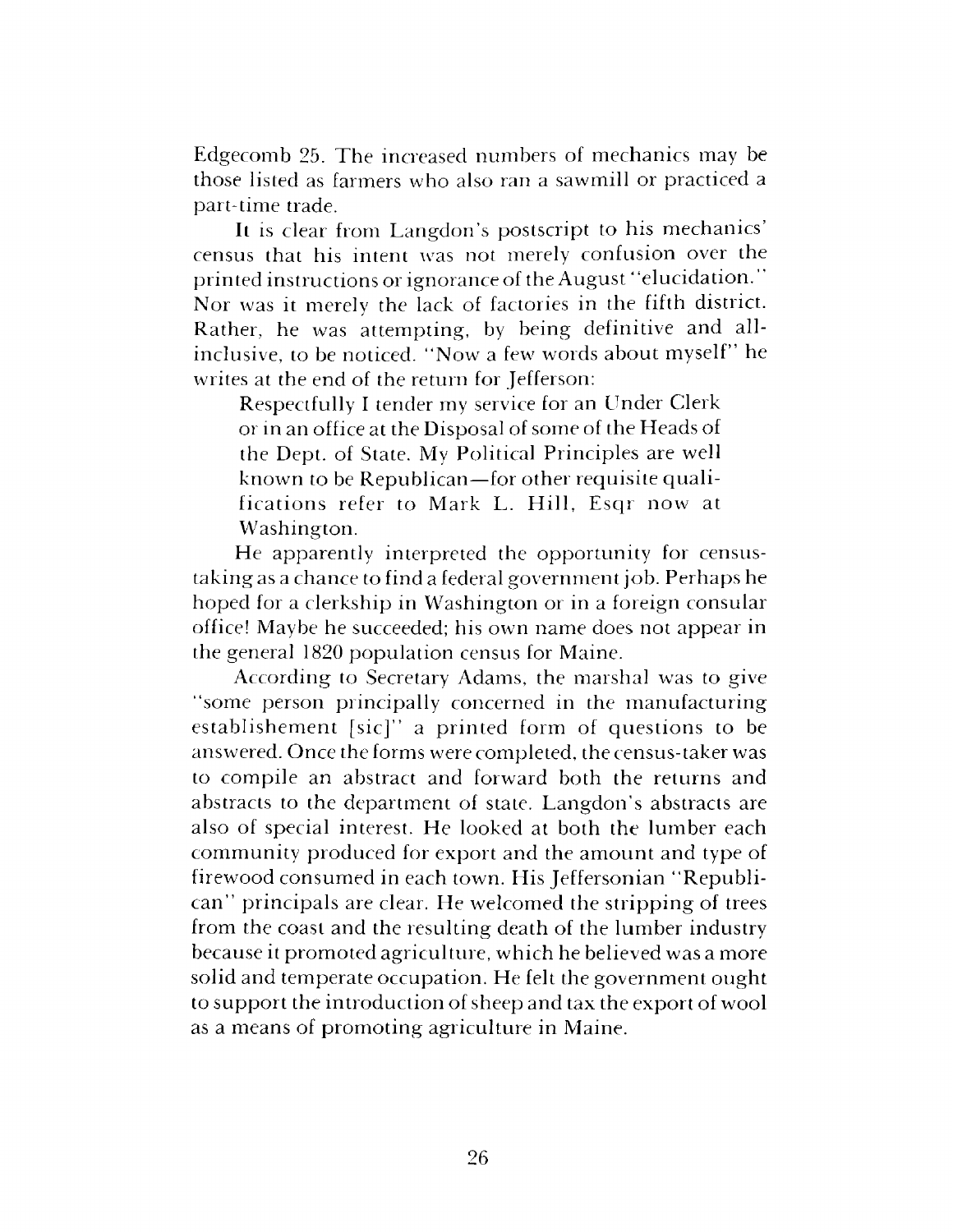Edgecomb 25. The increased numbers of mechanics may be those listed as farmers who also ran a sawmill or practiced a part-time trade.

It is clear from Langdon'<sup>s</sup> postscript to his mechanics' census that his intent was not merely confusion over the printed instructions or ignorance of the August' 'elucidation." Nor was it merely the lack of factories in the fifth district. Rather, he was attempting, by being definitive and allinclusive, to be noticed. "Now a few words about myself" he writes at the end of the return for Jefferson:

Respectfully I tender my service for an Under Clerk or in an office at the Disposal of some of the Heads of the Dept, of State. My Political Principles are well known to be Republican—for other requisite qualifications refer to Mark L. Hill, Esqr now at Washington.

He apparently interpreted the opportunity for censustaking as a chance to find a federal government job. Perhaps he hoped for a clerkship in Washington or in a foreign consular office! Maybe he succeeded; his own name does not appear in the general 1820 population census for Maine.

According to Secretary Adams, the marshal was to give "some person principally concerned in the manufacturing establishement [sic]" a printed form of questions to be answered. Once the forms were completed, the census-taker was to compile an abstract and forward both the returns and abstracts to the department of state. Langdon'<sup>s</sup> abstracts are also of special interest. He looked at both the lumber each community produced for export and the amount and type of firewood consumed in each town. His Jeffersonian "Republican" principals are clear. He welcomed the stripping of trees from the coast and the resulting death of the lumber industry because it promoted agriculture, which he believed was a more solid and temperate occupation. He felt the government ought to support the introduction of sheep and tax the export of wool as a means of promoting agriculture in Maine.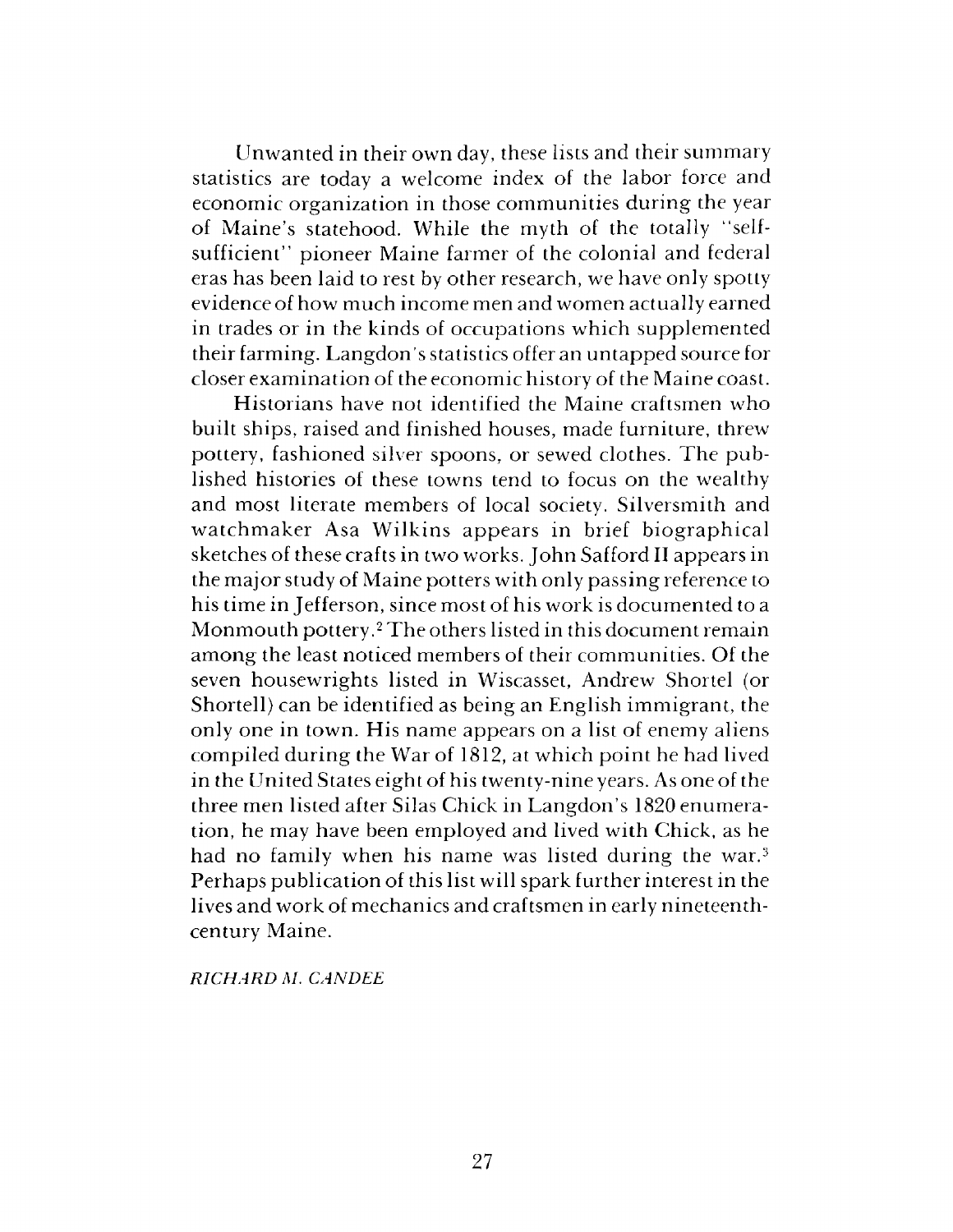Unwanted in their own day, these lists and their summary statistics are today a welcome index of the labor force and economic organization in those communities during the year of Maine's statehood. While the myth of the totally "selfsufficient" pioneer Maine farmer of the colonial and federal eras has been laid to rest by other research, we have only spotty evidence of how much income men and women actually earned in trades or in the kinds of occupations which supplemented their farming. Langdon'<sup>s</sup> statistics offer an untapped source for closer examination of the economic history of the Maine coast.

Historians have not identified the Maine craftsmen who built ships, raised and finished houses, made furniture, threw pottery, fashioned silver spoons, or sewed clothes. The published histories of these towns tend to focus on the wealthy and most literate members of local society. Silversmith and watchmaker Asa Wilkins appears in brief biographical sketches of these crafts in two works. John Safford II appears in the major study of Maine potters with only passing reference to his time in Jefferson, since most of his work is documented to a Monmouth pottery.<sup>2</sup> The others listed in this document remain among the least noticed members of their communities. Of the seven housewrights listed in Wiscasset, Andrew Shortel (or Shortell) can be identified as being an English immigrant, the only one in town. His name appears on a list of enemy aliens compiled during the War of 1812, at which point he had lived in the United States eight of his twenty-nine years. As one of the three men listed after Silas Chick in Langdon'<sup>s</sup> 1820 enumeration, he may have been employed and lived with Chick, as he had no family when his name was listed during the war.<sup>3</sup> Perhaps publication of this list will spark further interest in the lives and work of mechanics and craftsmen in early nineteenthcentury Maine.

*RICHARD M. CANDEE*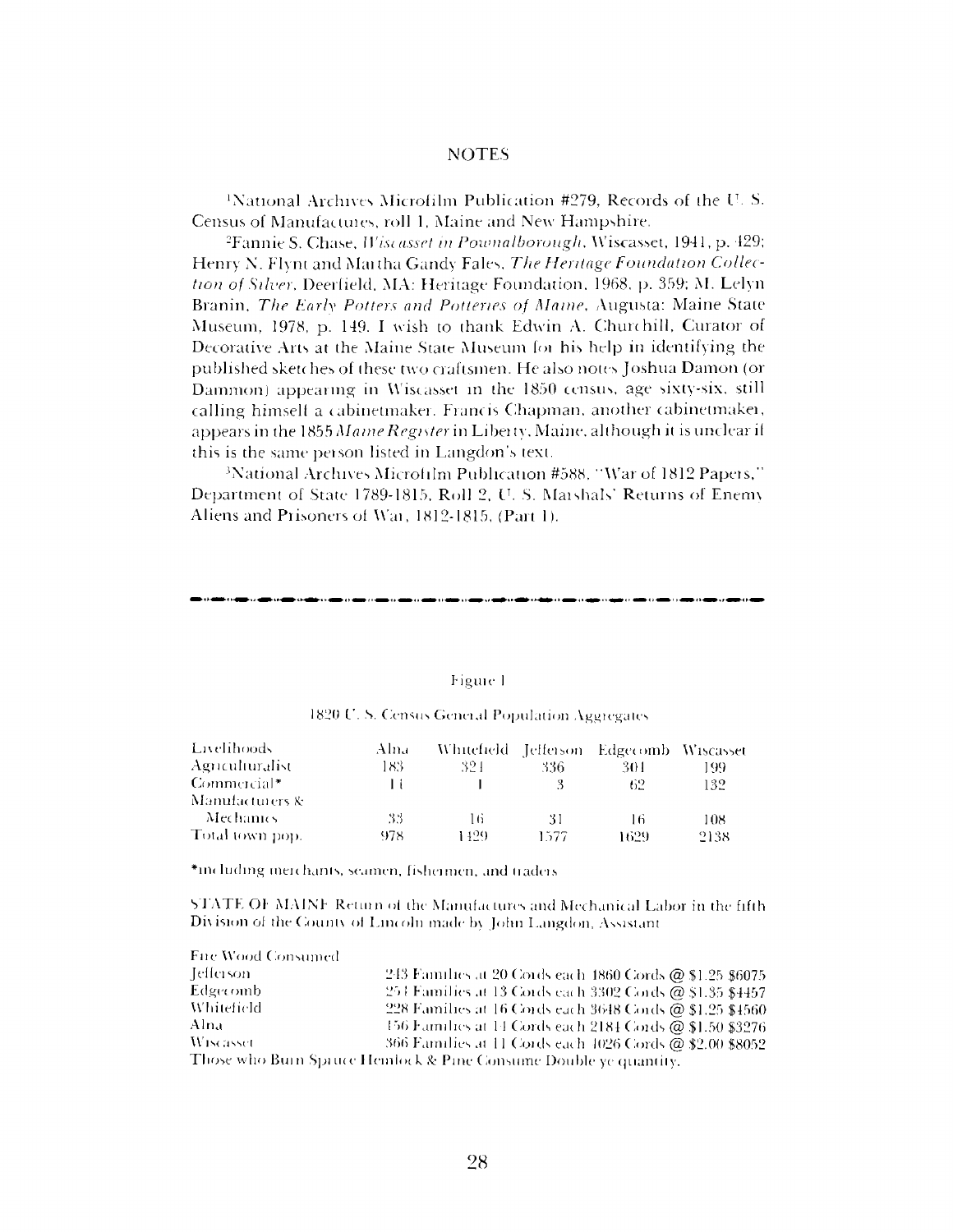#### NOTES

'National Archives Microfilm Publication #279, Records of the l<sup>T</sup>- S. Census of Manufactures, roll 1, Maine and New Hampshire.

<sup>2</sup>Fannie S. Chase, Wiscasset *in Pownalborough,* Wiscasset, 1941, p. 429; Henry N. Flynt and Martha Gandy Fairs, *The Heritage Foundation Collection of Silver<sup>t</sup>* Deerfield, MA: Heritage Foundation, 1968, p. 359; M. Lelyn Branin, *The Early Potters and Potteries of Maine,* Augusta: Maine State Museum, 1978, p, 149. I wish to thank Edwin A. Churchill, Curator of Decorative Arts at the Maine State Museum lot his help in identifying the published sketches of these two craftsmen. He also notes Joshua Damon (or Damnion) appearing in Wiscasset in the 1850 census, age sixty-six, still calling himself a cabinetmaker. Francis Chapman, another cabinetmaker, appears in the 1855 *Maine Register* in Liberty, Maine although it is unclear if this is the same person listed in Langdon's text.

'National Archives Microfilm Publication #588, "War of 1812 Papers," Department of State 1789-1815, Roll 2, U.. S. Marshals' Returns of Enemy Aliens and Prisoners of War, 1812-1815, (Part 1).

#### Figure <sup>1</sup>

|  |  | 1820 U.S. Census General Population Aggregates |
|--|--|------------------------------------------------|
|--|--|------------------------------------------------|

| Livelihoods     | Alna |      |      | Whitefield Jefferson Edgecomb Wiscasset |      |
|-----------------|------|------|------|-----------------------------------------|------|
| Agnculturalist  | 183  | 321  | 336  | 301                                     | 199  |
| $Commercial*$   |      |      |      | 62                                      | 132  |
| Manufacturers & |      |      |      |                                         |      |
| -Mechanics      | -33  | 16   | 31   | l 6                                     | 108  |
| Total town pop. | 978  | 149G | 1577 | 1629                                    | 2138 |

\*including merchants, seamen, fishermen, and traders

State of Maine Return of the Manufactures and Mechanical Labor in the fifth Division of the Counts of Lincoln made bv John Langdon, Assistant

| Fire Wood Consumed |                                                                  |
|--------------------|------------------------------------------------------------------|
| -Jefferson-        | 243 Families at 20 Cords each 1860 Cords @ \$1.25 \$6075         |
| Edgecomb           | 254 Families at 13 Cords each 3302 Cords @ \$1.35 \$4457         |
| <i>Whitefield</i>  | 228 Families at 16 Cords each 3648 Cords @ \$1.25 \$4560         |
| Alna               | 156 Families at 14 Cords each 2184 Cords @ \$1.50 \$3276         |
| <b>Wiscasset</b>   | 366 Families at 11 Cords each 4026 Cords @ \$2.00 \$8052         |
|                    | Those who Burn Spruce Hemlock & Pine Consume Double ye quantity. |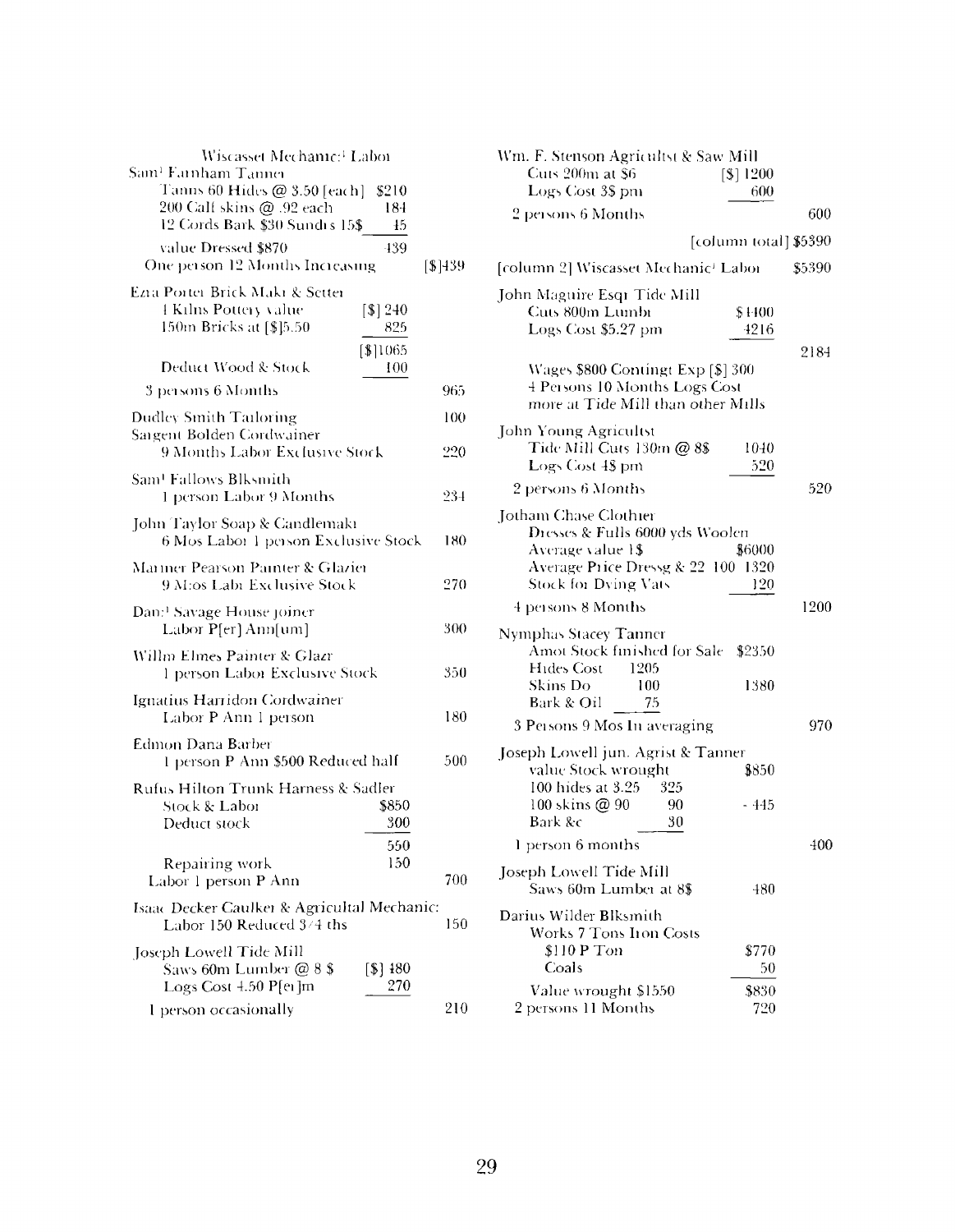| Wiscasset Mechanic: <sup>1</sup> Laboi                                                                                        |                         |         |
|-------------------------------------------------------------------------------------------------------------------------------|-------------------------|---------|
| Sam <sup>1</sup> Famham Tanner<br>Tanns 60 Hides @ 3.50 [each]<br>200 Calf skins @ .92 each<br>12 Cords Bark \$30 Sundis 15\$ | \$210<br>184<br>$\pm 5$ |         |
| value Dressed \$870<br>One person 12 Months Increasing                                                                        | -139                    | [\$]439 |
| Ezia Portei Brick Maki & Settei<br><b>EKilns Pottery value</b><br>150m Bricks at [\$]5.50                                     | [\$] 240<br>825         |         |
| Deduct Wood & Stock                                                                                                           | [\$]1065<br>100         |         |
| 3 persons 6 Months                                                                                                            |                         | 965     |
| Dudley Smith Tarloring                                                                                                        |                         | 100     |
| Sargent Bolden Cordwainer<br>9 Months Labor Exclusive Stock                                                                   |                         | 220     |
| Sam! Fallows Blksmith<br>1 person Labor 9 Months                                                                              |                         | 234     |
| John Taylor Soap & Candlemakı<br>6 Mos Labor 1 person Exclusive Stock                                                         |                         | 180     |
| Mariner Pearson Painter & Glazier<br>9 M:os Labi Exclusive Stock                                                              |                         | 270     |
| Dan: <sup>1</sup> Savage House joiner<br>Labor P[er] Ann[um]                                                                  |                         | 300     |
| Willm Elmes Painter & Glazr<br>1 person Laboi Exclusive Stock                                                                 |                         | 350     |
| Ignatius Harridon Cordwainer<br>Labor P Ann 1 person                                                                          |                         | 180     |
| Edmon Dana Barber<br>1 person P Ann \$500 Reduced half                                                                        |                         | 500     |
| Rufus Hilton Trunk Harness & Sadler<br>Stock & Labor<br>Deduct stock                                                          | \$850<br>300            |         |
| Repairing work<br>Labor 1 person P Ann                                                                                        | 550<br>150              | 700     |
| Isaac Decker Caulker & Agricultal Mechanic:<br>Labor 150 Reduced 3/4 ths                                                      |                         | 150     |
| Joseph Lowell Tide Mill<br>Saws 60m Lumber @ 8 \$<br>Logs Cost 4.50 P[ei]m                                                    | [\$] 480<br>270         |         |
| I person occasionally                                                                                                         |                         | 210     |

| Wm. F. Stenson Agricultst & Saw Mill<br>Cuts 200m at \$6<br>Logs Cost 3\$ pm                                                                | [\$] 1200<br>600      |        |
|---------------------------------------------------------------------------------------------------------------------------------------------|-----------------------|--------|
| 2 persons 6 Months                                                                                                                          |                       | 600    |
|                                                                                                                                             | [column total] \$5390 |        |
| [column 2] Wiscasset Mechanic <sup>1</sup> Labor                                                                                            |                       | \$5390 |
| John Maguire Esqr Tide Mill<br>Cuts 800m Lumbi<br>Logs Cost \$5.27 pm<br>Wages \$800 Contingt Exp [\$] 300<br>4 Persons 10 Months Logs Cost | \$4400<br>4216        | 2184   |
| more at Tide Mill than other Mills                                                                                                          |                       |        |
| John Young Agricultst<br>Tide Mill Cuts 130m @ 8\$<br>Logs Cost 48 pm<br>2 persons 6 Months                                                 | 1040<br>520           | 520    |
| Jotham Chase Clothier                                                                                                                       |                       |        |
| Dresses & Fulls 6000 yds Woolen<br>Average value 1\$<br>Average Price Dressg & 22 100 1320<br><b>Stock for Dying Vats</b>                   | \$6000<br>120         |        |
| 4 persons 8 Months                                                                                                                          |                       | 1200   |
| <b>Nymphas Stacey Tanner</b><br>Amot Stock finished for Sale \$2350<br>Hides Cost<br>1205<br>Skins Do<br>100                                | 1380                  |        |
| Bark & Oil<br>75                                                                                                                            |                       |        |
| 3 Persons 9 Mos In averaging                                                                                                                |                       | 970    |
| Joseph Lowell jun. Agrist & Tanner<br>value Stock wrought<br>100 hides at 3.25<br>- 325                                                     | \$850                 |        |
| 100 skins @ 90<br>90<br>Bark &c<br>30                                                                                                       | - 445                 |        |
| 1 person 6 months                                                                                                                           |                       | 400    |
| Joseph Lowell Tide Mill<br>Saws 60m Lumber at 8\$                                                                                           | 480                   |        |
| Darius Wilder Blksmith<br>Works 7 Tons Iron Costs<br>\$110 P Ton<br>Coals                                                                   | \$770<br>50           |        |
| Value wrought \$1550                                                                                                                        | \$830                 |        |
| 2 persons 11 Months                                                                                                                         | 720                   |        |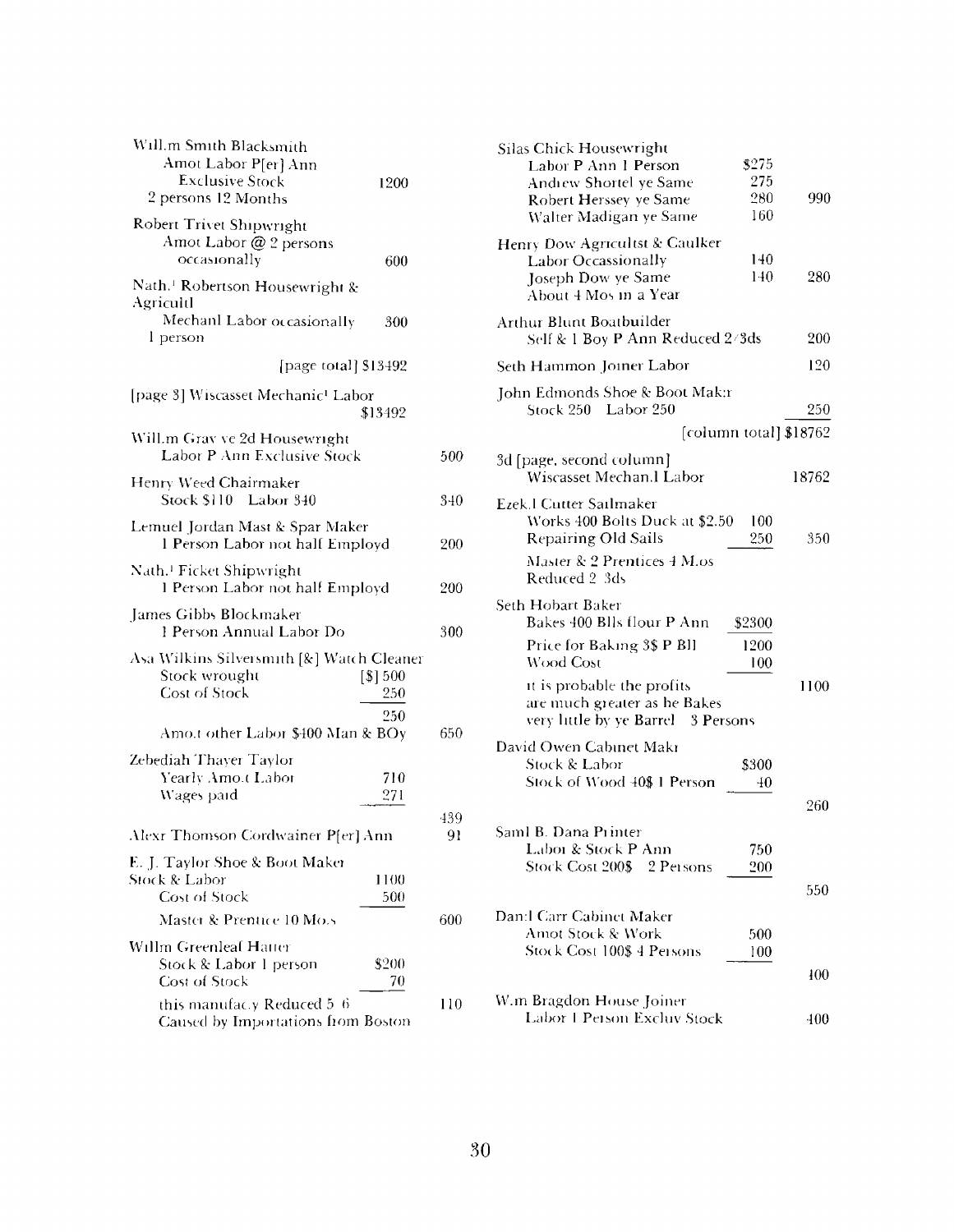| Will.m Smith Blacksmith<br>Amot Labor P[er] Ann<br><b>Exclusive Stock</b><br>2 persons 12 Months  | 1200           |           |
|---------------------------------------------------------------------------------------------------|----------------|-----------|
| Robert Trivet Shipwright<br>Amot Labor @ 2 persons<br>occasionally                                | 600            |           |
| Nath. <sup>1</sup> Robertson Housewright &<br>Agricultl<br>Mechanl Labor occasionally<br>l person | 300            |           |
| [page total] \$13492                                                                              |                |           |
| [page 3] Wiscasset Mechanic <sup>1</sup> Labor                                                    | \$13492        |           |
| Will.m Grav ve 2d Housewright<br>Labor P Ann Exclusive Stock                                      |                | 500       |
| Henry Weed Chairmaker<br>Stock \$110 Labor 340                                                    |                | 340       |
| Lemuel Jordan Mast & Spar Maker<br>1 Person Labor not half Employd                                |                | 200       |
| Nath. <sup>1</sup> Ficket Shipwright<br>1 Person Labor not half Employd                           |                | 200       |
| James Gibbs Blockmaker<br>1 Person Annual Labor Do                                                |                | 300       |
| Asa Wilkins Silversmith [&] Watch Cleaner<br>Stock wrought<br><b>Cost of Stock</b>                | [\$]500<br>250 |           |
| Amo.t other Labor \$400 Man & BOy                                                                 | 250            | 650       |
| Zebediah Thayer Taylor<br>Yearly Amo.t Labor<br>Wages paid                                        | 710<br>271     |           |
| Alexr Thomson Cordwainer P[er] Ann                                                                |                | 439<br>91 |
| E. J. Taylor Shoe & Boot Maker<br>Stock & Labor<br>Cost of Stock                                  | 1100<br>500    |           |
| Master & Prentice 10 Mo.s                                                                         |                | 600       |
| Willm Greenleaf Hatter<br>Stock & Labor 1 person<br><b>Cost of Stock</b>                          | \$200<br>70    |           |
| this manufac.y Reduced 5-6<br>Caused by Importations from Boston                                  |                | 110       |

|     | Silas Chick Housewright<br>Labor P Ann 1 Person<br>Andrew Shortel ye Same<br>Robert Herssey ye Same<br>Walter Madigan ye Same | 3275<br>275<br>280<br>160 | 990    |
|-----|-------------------------------------------------------------------------------------------------------------------------------|---------------------------|--------|
|     | Henry Dow Agricultst & Caulker<br><b>Labor Occassionally</b><br>Joseph Dow ye Same<br>About 4 Mos in a Year                   | 140<br>140                | 280    |
|     | Arthur Blunt Boatbuilder<br>Self & 1 Boy P Ann Reduced 2/3ds                                                                  |                           | 200    |
|     | Seth Hammon Joiner Labor                                                                                                      |                           | 120    |
|     | John Edmonds Shoe & Boot Mak:r<br>Stock 250 Labor 250                                                                         |                           | 250    |
|     |                                                                                                                               | [column total] \$18762    |        |
| 500 | 3d [page, second column]<br>Wiscasset Mechan.l Labor                                                                          |                           | 18762  |
| 340 | Ezek I Cutter Sailmaker<br>Works 400 Bolts Duck at \$2.50                                                                     | 100                       |        |
| 200 | Repairing Old Sails<br><b>Master &amp; 2 Prentices 4 M.os</b>                                                                 | 250                       | 350    |
| 200 | Reduced 2 3ds                                                                                                                 |                           |        |
| 300 | Seth Hobart Baker<br>Bakes 400 Blls flour P Ann                                                                               | \$2300                    |        |
|     | Price for Baking 3\$ P Bll<br><b>Wood Cost</b>                                                                                | 1200<br>100               |        |
| 650 | it is probable the profits<br>are much greater as he Bakes<br>very little by ye Barrel 3 Persons                              |                           | 1100   |
|     | David Owen Cabinet Makr<br>Stock & Labor<br>Stock of Wood 40\$ 1 Person                                                       | \$300<br>40               |        |
| 439 |                                                                                                                               |                           | 260    |
| 91  | Saml B. Dana Printer<br>Labor & Stock P Ann<br>Stock Cost 200\$<br>2 Persons                                                  | 750<br>200                |        |
|     |                                                                                                                               |                           | 550    |
| 600 | Dan:l Carr Cabinet Maker<br>Amot Stock & Work<br>Stock Cost 100\$ 4 Persons                                                   | 500<br>100                |        |
|     |                                                                                                                               |                           | 400    |
| 110 | W.m Bragdon House Joiner<br>Labor 1 Person Excluv Stock                                                                       |                           | $-100$ |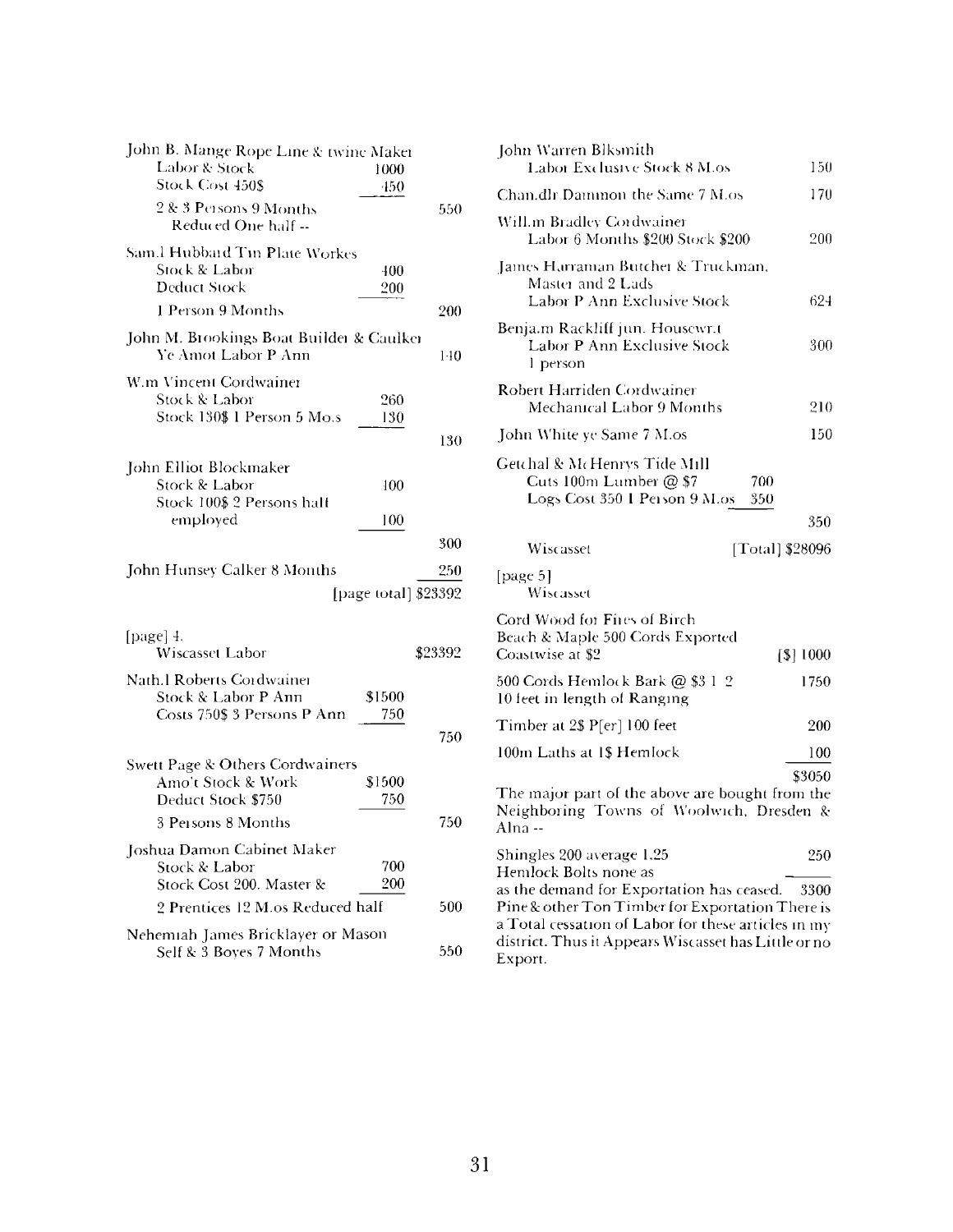| John B. Mange Rope Line & twine Maker                           |                      |         |
|-----------------------------------------------------------------|----------------------|---------|
| Labor & Stock                                                   | 1000                 |         |
| Stock Cost 450\$                                                | 450                  |         |
| 2 & 3 Persons 9 Months<br>Reduced One half --                   |                      | 550     |
| Sam.l Hubbard Tin Plate Workes                                  |                      |         |
| Stock & Labor                                                   | 400                  |         |
| <b>Deduct Stock</b>                                             | 200                  |         |
| 1 Person 9 Months                                               |                      | 200     |
| John M. Brookings Boat Builder & Caulker<br>Ye Amot Labor P Ann |                      | 140     |
| W.m Vincent Cordwainer                                          |                      |         |
| <b>Stock &amp; Labor</b>                                        | 260                  |         |
| Stock 130\$ 1 Person 5 Mo.s                                     | 130                  |         |
|                                                                 |                      | 130     |
| John Elliot Blockmaker                                          |                      |         |
| Stock & Labor                                                   | 400                  |         |
| Stock 100\$ 2 Persons half                                      |                      |         |
| employed                                                        | 100                  |         |
|                                                                 |                      | 300     |
| John Hunsey Calker 8 Months                                     |                      | 250     |
|                                                                 | [page total] \$23392 |         |
|                                                                 |                      |         |
|                                                                 |                      |         |
| [page] 4.<br>Wiscasset Labor                                    |                      | \$23392 |
| Nath.l Roberts Cordwainer                                       |                      |         |
| Stock & Labor P Ann                                             | \$1500               |         |
| Costs 750\$ 3 Persons P Ann                                     | 750                  |         |
|                                                                 |                      | 750     |
|                                                                 |                      |         |
| Swett Page & Others Cordwainers<br>Amo't Stock & Work           | \$1500               |         |
| Deduct Stock \$750                                              | 750                  |         |
| 3 Persons 8 Months                                              |                      | 750     |
|                                                                 |                      |         |
| Joshua Damon Cabinet Maker<br>Stock & Labor                     | 700                  |         |
| Stock Cost 200. Master &                                        | 200                  |         |
| 2 Prentices 12 M.os Reduced half                                |                      | 500     |
| Nehemiah James Bricklayer or Mason                              |                      |         |

| John Warren Blksmith<br>Labor Exclusive Stock 8 M.os                                                                   | 150       |
|------------------------------------------------------------------------------------------------------------------------|-----------|
| Chan,dlr Dammon the Same 7 M.os                                                                                        | 170       |
| Will.m Bradley Cordwainer                                                                                              |           |
| Labor 6 Months \$200 Stock \$200                                                                                       | 200       |
| James Harraman Butcher & Truckman,                                                                                     |           |
| Master and 2 Lads<br>Labor P Ann Exclusive Stock                                                                       | 624       |
| Benja.m Rackliff jun. Housewr.t<br>Labor P Ann Exclusive Stock<br>l person                                             | 300       |
| Robert Harriden Cordwainer<br>Mechanical Labor 9 Months                                                                | 210       |
| John White ye Same 7 M.os                                                                                              | 150       |
| Getchal & McHenrys Tide Mill<br>Cuts 100m Lumber @ \$7<br>700<br>Logs Cost 350 1 Person 9 M.os<br>350                  | 350       |
| Wiscasset<br>[Total] \$28096                                                                                           |           |
| [page 5]<br>Wiscasset                                                                                                  |           |
| Cord Wood for Fires of Birch<br>Beach & Maple 500 Cords Exported<br>Coastwise at \$2                                   | [\$] 1000 |
| 500 Cords Hemlock Bark @ \$3 1-2<br>10 feet in length of Ranging                                                       | 1750      |
| Timber at 2\$ P[er] 100 feet                                                                                           | 200       |
| 100m Laths at 1\$ Hemlock                                                                                              | 100       |
|                                                                                                                        | \$3050    |
| The major part of the above are bought from the<br>Neighboring Towns of Woolwich, Dresden &<br>Alna --                 |           |
| Shingles 200 average 1.25                                                                                              | 250       |
| Hemlock Bolts none as<br>as the demand for Exportation has ceased.                                                     | 3300      |
| Pine & other Ton Timber for Exportation There is                                                                       |           |
| a Total cessation of Labor for these articles in my<br>district. Thus it Appears Wiscasset has Little or no<br>Export. |           |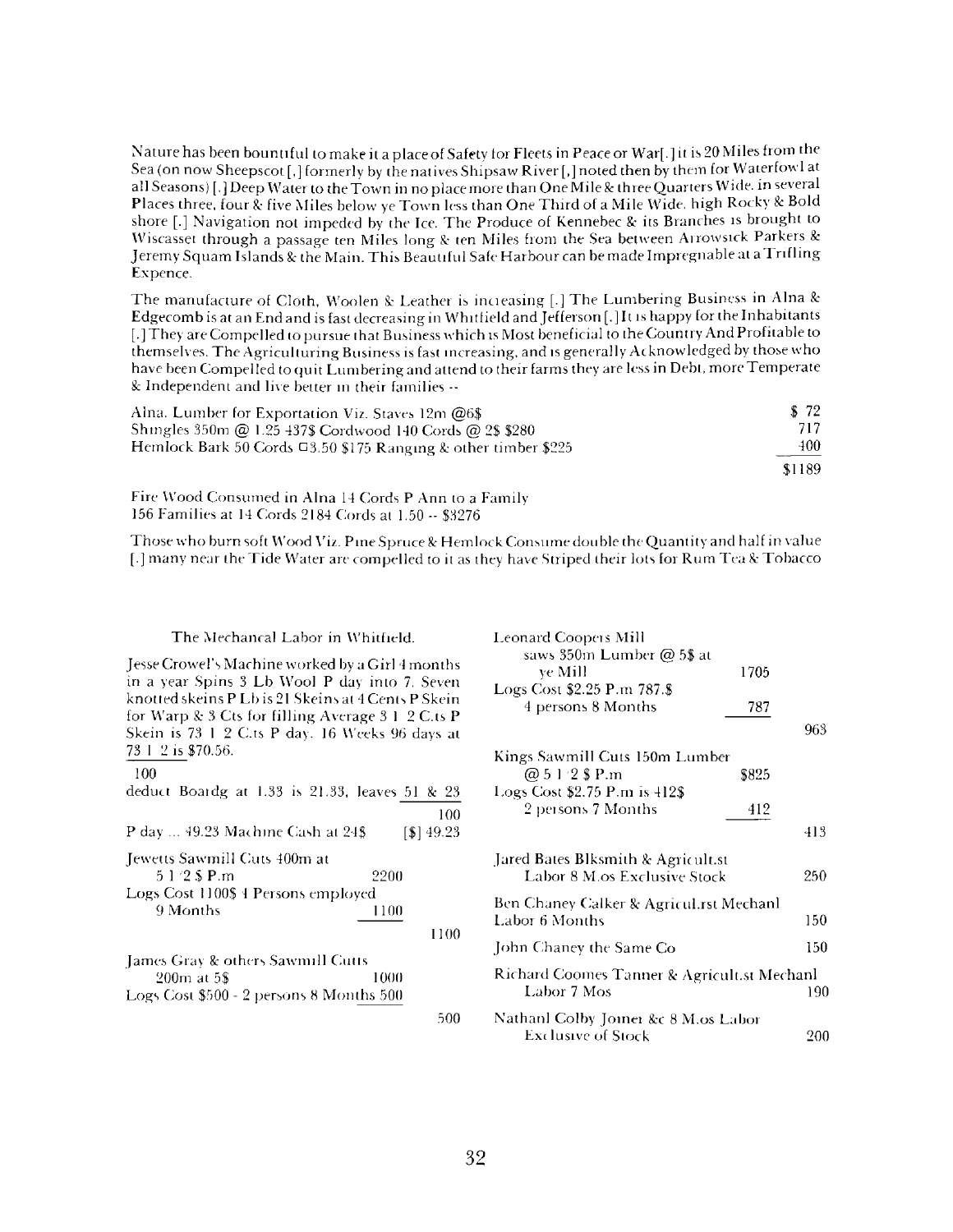Nature has been bountiful to make it a place of Safety for Fleets in Peace or War[.] it is 20 Miles from the Sea (on now Sheepscot [,] formerly by the natives Shipsaw River [,] noted then by them for Waterfowl at all Seasons) [.] Deep Water to the Town in no place more than One Mile & three Quarters Wide, in several Places three, four & five Miles below ye Town less than One Third of a Mile Wide, high Rocky & Bold shore [.] Navigation not impeded by the Ice. The Produce of Kennebec & its Branches is brought to Wiscasset through a passage ten Miles long & ten Miles from the Sea between Arrowsick Parkers & Jeremy Squam Islands & the Main. This Beautiful Safe Harbour can be made Impregnable at a Trifling Expence.

The manufacture of Cloth, Woolen & Leather is incieasing [.] The Lumbering Business in Aina & Edgecomb is at an End and is fast decreasing in Whitfield and Jefferson [.Jit is happy for the Inhabitants [.] They are Compelled to pursue that Business which is Most beneficial to the Country And Profitable to themselves. The Agriculturing Business is fast increasing, and is generally Acknowledged by those who have been Compelled to quit Lumbering and attend to their farms they are less in Debt, more Temperate & Independent and live better in their families -

| Alna. Lumber for Exportation Viz. Staves 12m $@6\$                   | \$72   |
|----------------------------------------------------------------------|--------|
| Shingles 350m @ 1.25 437\$ Cordwood 140 Cords @ 2\$ \$280            | 717    |
| Hemlock Bark 50 Cords $\Box$ 3.50 \$175 Ranging & other timber \$225 | 400    |
|                                                                      | \$1189 |
|                                                                      |        |

Fire Wood Consumed in Aina <sup>14</sup> Cords P Ann to a Family <sup>156</sup> Families at <sup>14</sup> Cords <sup>2184</sup> Cords at 1.50 - \$3276

Those who burn soft Wood Viz. Pine Spruce & Hemlock Consume double the Quantity and half in value [.] many near the Tide Water are compelled to it as they have Striped their lots for Rum Tea 8c Tobacco

#### The Mechancal Labor in Whitfield.

Jesse Crowel'<sup>s</sup> Machine worked by a Girl <sup>4</sup> months in a year Spins <sup>3</sup> Lb Wool P day into 7. Seven knotted skeins P Lb is 21 Skeins at 4 Cents P Skein for Warp & <sup>3</sup> Cts for filling Average 3 <sup>1</sup> 2 C.ts P Skein is 73 <sup>1</sup> 2 C.ts P day. 16 Weeks 96 days at 73 <sup>1</sup> 2 is \$70.56.

#### 100

| deduct Boardg at 1.33 is 21.33, leaves 51 & 23                                              |                         |      |
|---------------------------------------------------------------------------------------------|-------------------------|------|
|                                                                                             |                         | 100  |
| P day  49.23 Machine Cash at 24\$                                                           | $\lceil $ \rceil 49.23$ |      |
| Jewetts Sawmill Cuts 400m at<br>$51/2$ S P.m<br>2200<br>Logs Cost 1100\$ 4 Persons employed |                         |      |
| 9 Months<br>1100                                                                            |                         |      |
|                                                                                             |                         | 1100 |
| James Gray & others Sawmill Cutts                                                           |                         |      |
| 200m at 5\$<br>1000                                                                         |                         |      |
| Logs Cost \$500 - 2 persons 8 Months 500                                                    |                         |      |

| Leonard Coopers Mill                        |       |     |
|---------------------------------------------|-------|-----|
| saws 350m Lumber @ 5\$ at                   |       |     |
| ve Mill                                     | 1705  |     |
| Logs Cost \$2.25 P.m 787.\$                 |       |     |
| 4 persons 8 Months                          | 787   |     |
|                                             |       | 963 |
|                                             |       |     |
| Kings Sawmill Cuts 150m Lumber              |       |     |
| @ 5 1 2 \$ P.m                              | \$825 |     |
| Logs Cost \$2.75 P.m is 412\$               |       |     |
| 2 persons 7 Months                          | 412   |     |
|                                             |       | 413 |
| Jared Bates Blksmith & Agricult.st          |       |     |
| Labor 8 M os Exclusive Stock                |       | 250 |
| Ben Chaney Calker & Agricul.rst Mechanl     |       |     |
| Labor 6 Months                              |       | 150 |
| John Chaney the Same Co                     |       | 150 |
| Richard Coomes Tanner & Agricult.st Mechanl |       |     |
| Labor 7 Mos                                 |       | 190 |
| Nathanl Colby Joiner &c 8 M.os Labor        |       |     |
| Exclusive of Stock                          |       | 200 |

500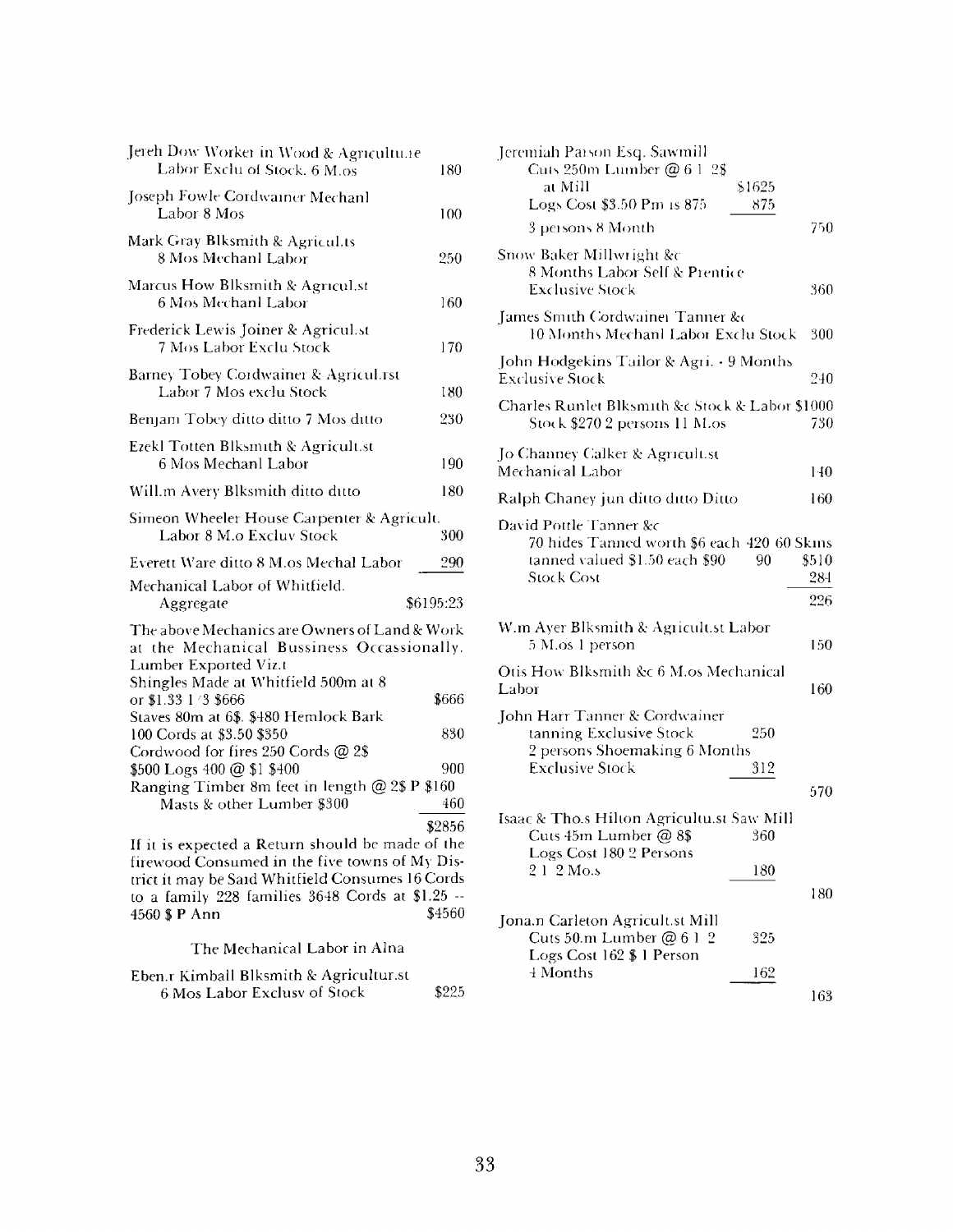| Jereh Dow Worker in Wood & Agricultu.1e<br>Labor Exclu of Stock. 6 M.os                                                                                                                                                                                                                                                       | 180                 |
|-------------------------------------------------------------------------------------------------------------------------------------------------------------------------------------------------------------------------------------------------------------------------------------------------------------------------------|---------------------|
| Joseph Fowle Cordwainer Mechanl<br>Labor 8 Mos                                                                                                                                                                                                                                                                                | 100                 |
| Mark Gray Blksmith & Agricul.ts<br>8 Mos Mechanl Labor                                                                                                                                                                                                                                                                        | 250                 |
| Marcus How Blksmith & Agricul.st<br>6 Mos Mechanl Labor                                                                                                                                                                                                                                                                       | 160                 |
| Frederick Lewis Joiner & Agricul.st<br>7 Mos Labor Exclu Stock                                                                                                                                                                                                                                                                | 170                 |
| Barney Tobey Cordwainer & Agricul.rst<br>Labor 7 Mos exclu Stock                                                                                                                                                                                                                                                              | 180                 |
| Benjam Tobey ditto ditto 7 Mos ditto                                                                                                                                                                                                                                                                                          | 230                 |
| Ezekl Totten Blksmith & Agricult.st<br>6 Mos Mechanl Labor                                                                                                                                                                                                                                                                    | 190                 |
| Will.m Avery Blksmith ditto ditto                                                                                                                                                                                                                                                                                             | 180                 |
| Simeon Wheeler House Carpenter & Agricult.<br>Labor 8 M.o Excluv Stock                                                                                                                                                                                                                                                        | 300                 |
| Everett Ware ditto 8 M.os Mechal Labor                                                                                                                                                                                                                                                                                        | 290                 |
| Mechanical Labor of Whitfield.<br>Aggregate                                                                                                                                                                                                                                                                                   | \$6195:23           |
| The above Mechanics are Owners of Land & Work<br>at the Mechanical Bussiness Occassionally.<br>Lumber Exported Viz.t<br>Shingles Made at Whitfield 500m at 8<br>or \$1.33 1/3 \$666<br>Staves 80m at 6\$. \$480 Hemlock Bark<br>100 Cords at \$3.50 \$350<br>Cordwood for fires 250 Cords @ 2\$<br>\$500 Logs 400 @ \$1 \$400 | \$666<br>830<br>900 |
| Ranging Timber 8m feet in length @ 2\$ P \$160<br>Masts & other Lumber \$300                                                                                                                                                                                                                                                  | 460<br>\$2856       |
| If it is expected a Return should be made of the<br>firewood Consumed in the five towns of My Dis-<br>trict it may be Said Whitfield Consumes 16 Cords<br>to a family 228 families 3648 Cords at \$1.25 --<br>4560 \$ P Ann<br>The Mechanical Labor in Alna                                                                   | \$4560              |
|                                                                                                                                                                                                                                                                                                                               |                     |

| Eben.r Kimball Blksmith & Agricultur.st |       |
|-----------------------------------------|-------|
| 6 Mos Labor Exclusy of Stock            | \$225 |

| Jeremiah Parson Esq. Sawmill<br>Cuts 250m Lumber @ 6 1-2\$<br>at Mill<br>\$1625<br>Logs Cost \$3.50 Pm is 875<br>875              |                     |
|-----------------------------------------------------------------------------------------------------------------------------------|---------------------|
| 3 persons 8 Month                                                                                                                 | 750                 |
| Snow Baker Millwright &c<br>8 Months Labor Self & Prentice<br>Exclusive Stock                                                     | 360                 |
| James Smith Cordwainei Tanner &c<br>10 Months Mechanl Labor Exclu Stock                                                           | 300                 |
| John Hodgekins Tailor & Agri. - 9 Months<br><b>Exclusive Stock</b>                                                                | 240                 |
| Charles Runlet Blksmith &c Stock & Labor \$1000<br>Stock \$270.2 persons 11 M.os                                                  | 730                 |
| Jo Channey Calker & Agricult.st<br>Mechanical Labor                                                                               | 140                 |
| Ralph Chaney jun ditto ditto Ditto                                                                                                | 160                 |
| David Pottle Tanner &c<br>70 hides Tanned worth \$6 each 420 60 Skins<br>tanned valued \$1.50 each \$90<br>90<br>Stock Cost       | \$510<br>284<br>226 |
| W.m Ayer Blksmith & Agricult.st Labor<br>5 M.os 1 person                                                                          | 150                 |
| Otis How Blksmith &c 6 M.os Mechanical<br>Labor                                                                                   | 160                 |
| John Harr Tanner & Cordwainer<br>tanning Exclusive Stock<br>250<br>2 persons Shoemaking 6 Months<br><b>Exclusive Stock</b><br>312 |                     |
|                                                                                                                                   | 570                 |
| Isaac & Tho.s Hilton Agricultu.st Saw Mill<br>Cuts 45m Lumber @ 8\$<br>360<br>Logs Cost 180 2 Persons                             |                     |
| 212Mo.s<br>180                                                                                                                    |                     |
|                                                                                                                                   | 180                 |
| Jona.n Carleton Agricult.st Mill<br>Cuts 50.m Lumber $@612$<br>325<br>Logs Cost 162 \$ 1 Person                                   |                     |
| 4 Months<br>162                                                                                                                   | 163                 |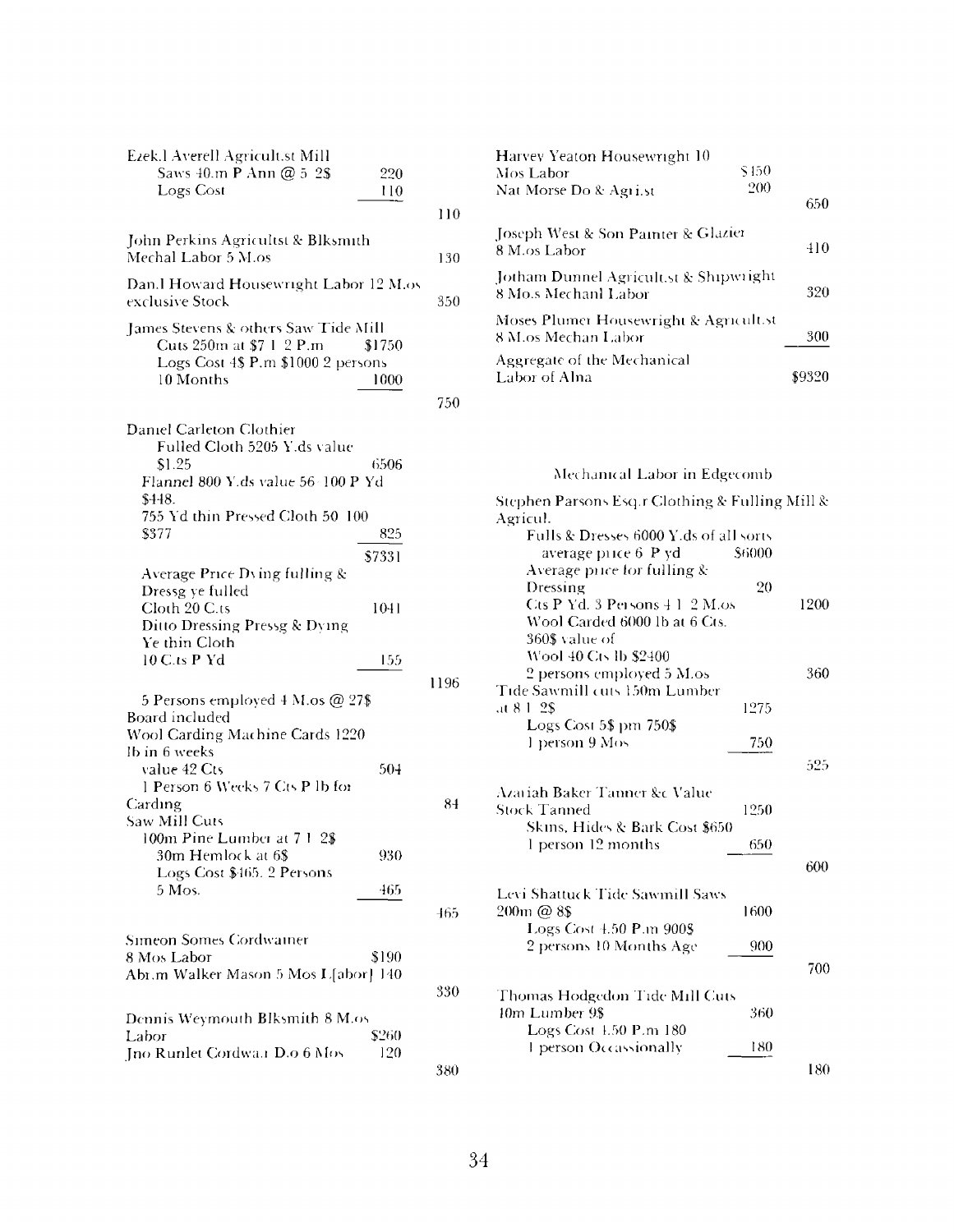| Ezek.l Averell Agricult.st Mill<br>Saws 40.m P Ann @ 5 2\$<br>220<br>Logs Cost<br>110                                                  |      |
|----------------------------------------------------------------------------------------------------------------------------------------|------|
|                                                                                                                                        | 110  |
| John Perkins Agricultst & Blksmith<br>Mechal Labor 5 M.os                                                                              | 130  |
| Dan.l Howard Housewright Labor 12 M.os<br>exclusive Stock                                                                              | 350  |
| James Stevens & others Saw Tide Mill<br>Cuts 250m at \$7 1 2 P.m.<br>\$1750<br>Logs Cost 4\$ P.m \$1000 2 persons<br>10 Months<br>1000 |      |
|                                                                                                                                        | 750  |
| Daniel Carleton Clothier<br>Fulled Cloth 5205 Y.ds value<br>\$1.25<br>6506<br>Flannel 800 Y.ds value 56-100 P Yd<br>\$448.             |      |
| 755 Yd thin Pressed Cloth 50 100<br>\$377<br>825<br>\$7331                                                                             |      |
| Average Price Dving fulling &<br>Dressg ye fulled                                                                                      |      |
| Cloth 20 C.ts<br>1041<br>Ditto Dressing Pressg & Dying<br>Ye thin Cloth                                                                |      |
| 10 C.ts P Yd<br>155                                                                                                                    |      |
| 5 Persons employed 4 M.os @ 27\$<br>Board included                                                                                     | 1196 |
| Wool Carding Machine Cards 1220                                                                                                        |      |
| lb in 6 weeks<br>value 42 Cts<br>504<br>1 Person 6 Weeks 7 Cts P lb for                                                                |      |
| Carding                                                                                                                                | 84   |
| Saw Mill Cuts<br>100m Pine Lumber at 7 1<br>2\$                                                                                        |      |
| 30m Hemlock at 6\$<br>930                                                                                                              |      |
| Logs Cost \$465. 2 Persons<br>5 Mos.<br>465                                                                                            |      |
|                                                                                                                                        | 465  |
| Simeon Somes Cordwainer<br>8 Mos Labor<br>\$190<br>Abr.m Walker Mason 5 Mos L[abor] 140                                                | 330  |
| Dennis Weymouth Blksmith 8 M.os                                                                                                        |      |
| \$260<br>Labor<br>Jno Runlet Cordwa.1 D.o 6 Mos<br>120                                                                                 |      |
|                                                                                                                                        | 380  |

| Harvey Yeaton Housewright 10                                   |     |
|----------------------------------------------------------------|-----|
| \$450<br>Mos Labor                                             |     |
| 200<br>Nat Morse Do & Agri.st                                  | 650 |
| Joseph West & Son Painter & Glazier<br>8 M.os Labor            | 410 |
| Jotham Dunnel Agricult.st & Shipwright<br>8 Mo.s Mechanl Labor | 320 |
| Moses Plumer Housewright & Agricult.st<br>8 M.os Mechan Labor  | 300 |
| Aggregate of the Mechanical<br>Labor of Alna                   |     |

Mechanical Labor in Edgecomb

| Stephen Parsons Esq.r Clothing & Fulling Mill & |      |
|-------------------------------------------------|------|
| Agricul.                                        |      |
| Fulls & Dresses 6000 Y.ds of all sorts          |      |
| average price 6 P yd<br>\$6000                  |      |
| Average price for fulling &                     |      |
| Dressing<br>20                                  |      |
| Cts P Yd. 3 Persons $41, 2$ M.os                | 1200 |
| Wool Carded 6000 lb at 6 Cts.                   |      |
| 360\$ value of                                  |      |
| Wool 40 Cts lb \$2400                           |      |
|                                                 |      |
| 2 persons employed 5 M.os                       | 360  |
| Tide Sawmill cuts 150m Lumber                   |      |
| 1275<br>at 8-1-2\$                              |      |
| Logs Cost 5\$ pm 750\$                          |      |
| l person 9 Mos<br>750                           |      |
|                                                 | 525  |
|                                                 |      |
| Azariah Baker Tanner &c Value                   |      |
| <b>Stock Tanned</b><br>1250                     |      |
| Skins, Hides & Bark Cost \$650                  |      |
| 1 person 12 months<br>650                       |      |
|                                                 |      |
|                                                 | 600  |
| Levi Shattuck Tide Sawmill Saws                 |      |
| 200m @ 8\$<br>1600                              |      |
|                                                 |      |
| Logs Cost 4.50 P.m 900\$                        |      |
| 2 persons 10 Months Age<br>900                  |      |
|                                                 | 700  |
|                                                 |      |
| Thomas Hodgedon Tide Mill Cuts                  |      |
| 10m Lumber 9\$<br>360                           |      |
| Logs Cost 1.50 P.m 180                          |      |
| 1 person Occassionally<br>180                   |      |
|                                                 | 180  |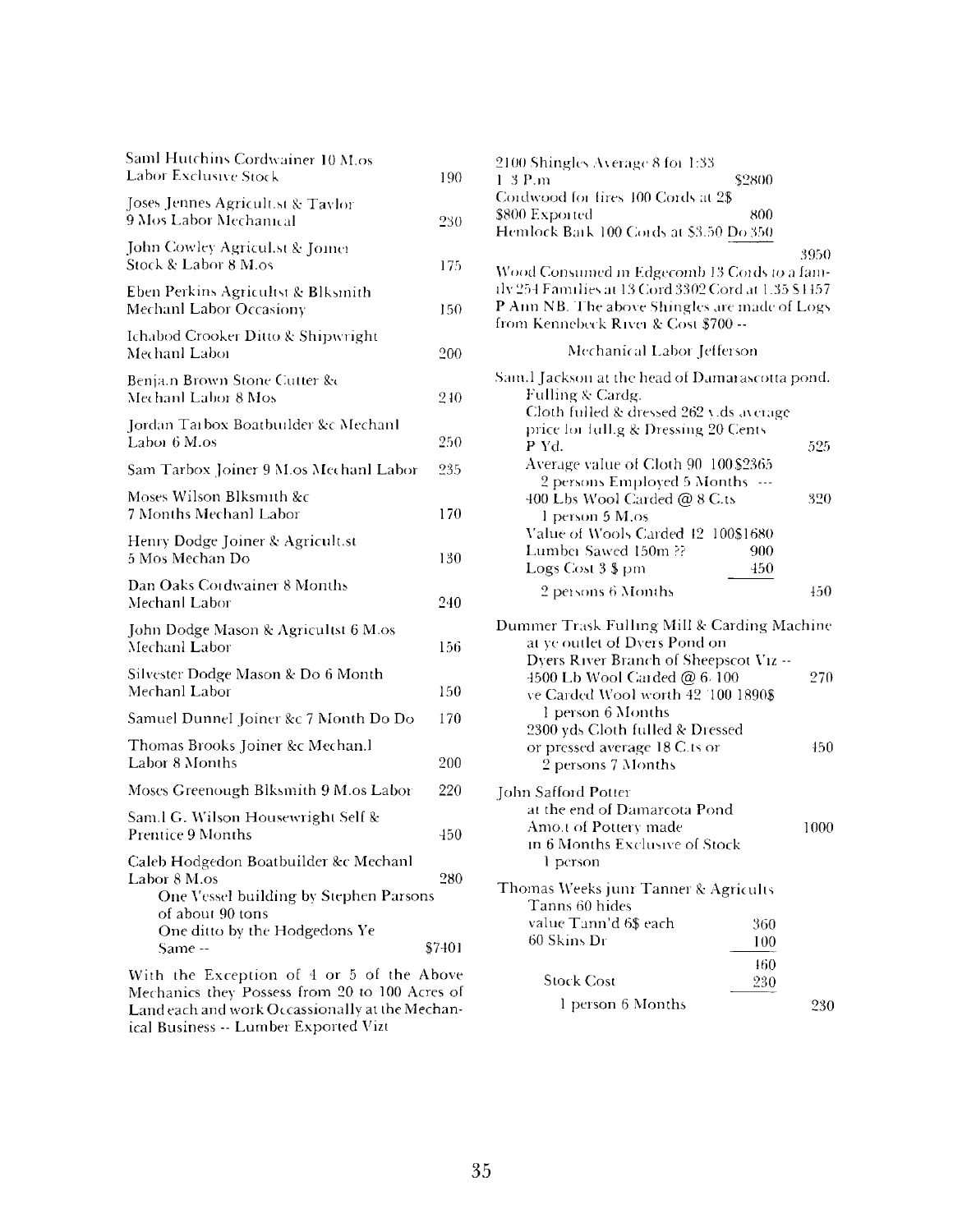| Saml Hutchins Cordwainer 10 M.os<br>Labor Exclusive Stock                                                                                            | 190    |
|------------------------------------------------------------------------------------------------------------------------------------------------------|--------|
| Joses Jennes Agricult.st & Taylor<br>9 Mos Labor Mechanical                                                                                          | 230    |
| John Cowley Agricul.st & Jomer<br>Stock & Labor 8 M.os                                                                                               | 175    |
| Eben Perkins Agricultst & Blksmith<br>Mechanl Labor Occasiony                                                                                        | 150    |
| Ichabod Crooker Ditto & Shipwright<br>Mechanl Labor                                                                                                  | 200    |
| Benja.n Brown Stone Cutter &c<br>Mechanl Labor 8 Mos                                                                                                 | 240    |
| Jordan Tarbox Boatbuilder &c Mechanl<br>Labor 6 M.os                                                                                                 | 250    |
| Sam Tarbox Joiner 9 M.os Mechanl Labor                                                                                                               | 235    |
| Moses Wilson Blksmith &c<br>7 Months Mechanl Labor                                                                                                   | 170    |
| Henry Dodge Joiner & Agricult.st<br>5 Mos Mechan Do                                                                                                  | 130    |
| Dan Oaks Cordwainer 8 Months<br>Mechanl Labor                                                                                                        | 240    |
| John Dodge Mason & Agricultst 6 M.os<br>Mechanl Labor                                                                                                | 156    |
| Silvester Dodge Mason & Do 6 Month<br>Mechanl Labor                                                                                                  | 150    |
| Samuel Dunnel Joiner &c 7 Month Do Do                                                                                                                | 170    |
| Thomas Brooks Joiner &c Mechan.l<br>Labor 8 Months                                                                                                   | 200    |
| Moses Greenough Blksmith 9 M.os Labor                                                                                                                | 220    |
| Sam.l G. Wilson Housewright Self &<br>Prentice 9 Months                                                                                              | 450    |
| Caleb Hodgedon Boatbuilder &c Mechanl<br>Labor 8 M.os<br>One Vessel building by Stephen Parsons<br>of about 90 tons<br>One ditto by the Hodgedons Ye | 280    |
| Same --                                                                                                                                              | \$7401 |
| ~ F                                                                                                                                                  |        |

With the Exception of <sup>4</sup> or 5 of the Above Mechanics they Possess from 20 to 100 Acres of Land each and work Occassionally at the Mechanical Business -- Lumber Exported Vizt

| 2100 Shingles Average 8 for 1:33                                                                     |                      |
|------------------------------------------------------------------------------------------------------|----------------------|
| $1.3$ P.m<br>Cordwood for fires 100 Cords at 2\$                                                     | \$2800               |
| \$800 Exported                                                                                       | 800                  |
| Hemlock Bark 100 Cords at \$3.50 Do 350                                                              |                      |
|                                                                                                      | 3950                 |
| Wood Consumed in Edgecomb 13 Cords to a fam-<br>ilv 254 Families at 13 Cord 3302 Cord at 1.35 \$4457 |                      |
| P Ann NB. The above Shingles are made of Logs                                                        |                      |
| from Kennebeck River & Cost \$700 --                                                                 |                      |
| Mechanical Labor Jefferson                                                                           |                      |
| Sam.l Jackson at the head of Damarascotta pond.                                                      |                      |
| Fulling & Cardg.                                                                                     |                      |
| Cloth fulled & dressed 262 yids average<br>price for full g & Dressing 20 Cents                      |                      |
| P Yd.                                                                                                | 525                  |
| Average value of Cloth 90 100 \$2365                                                                 |                      |
| 2 persons Employed 5 Months                                                                          | $\sim$ $\sim$ $\sim$ |
| 400 Lbs Wool Carded @ 8 C.ts<br>1 person 5 M,os                                                      | 320                  |
| Value of Wools Carded 42                                                                             | 100\$1680            |
| Lumber Sawed 150m ??                                                                                 | 900                  |
| Logs Cost 3 \$ pm                                                                                    | 450                  |
| 2 persons 6 Months                                                                                   | 450                  |
| Dummer Trask Fulling Mill & Carding Machine                                                          |                      |
| at ye outlet of Dyers Pond on                                                                        |                      |
| Dyers River Branch of Sheepscot Viz --                                                               |                      |
| 4500 Lb Wool Carded @ 6.100<br>ve Carded Wool worth 42 100 1890\$                                    | 270                  |
| 1 person 6 Months                                                                                    |                      |
| 2300 yds Cloth fulled & Dressed                                                                      |                      |
| or pressed average 18 C.ts or                                                                        | 450                  |
| 2 persons 7 Months                                                                                   |                      |
| John Safford Potter                                                                                  |                      |
| at the end of Damarcota Pond                                                                         |                      |
| Amo.t of Pottery made<br>in 6 Months Exclusive of Stock                                              | 1000                 |
| 1 person                                                                                             |                      |
| Thomas Weeks junr Tanner & Agricults                                                                 |                      |
| Tanns 60 hides                                                                                       |                      |
| value Tann'd 6\$ each                                                                                | 360                  |
| 60 Skins Dr                                                                                          | 100                  |
|                                                                                                      | 460                  |
| <b>Stock Cost</b>                                                                                    | 230                  |
| l person 6 Months                                                                                    | 230                  |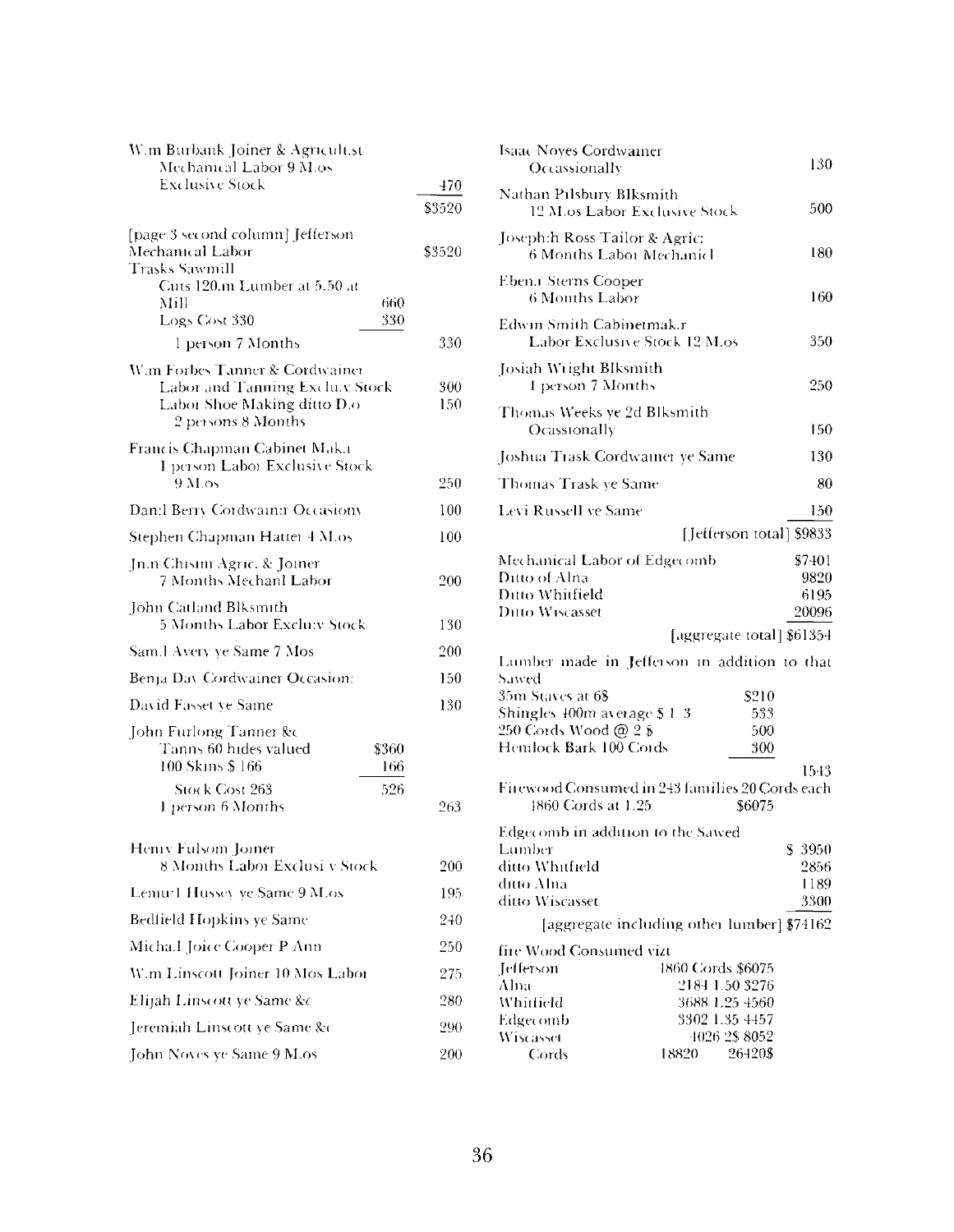| W.m Burbank Joiner & Agricult.st                                                                                                                                          |               |
|---------------------------------------------------------------------------------------------------------------------------------------------------------------------------|---------------|
| Mechanical Labor 9 M.os<br><b>Exclusive Stock</b>                                                                                                                         | 470           |
|                                                                                                                                                                           | \$3520        |
| [page 3 second column] Jefferson<br>Mechanical Labor<br><b>Trasks Sawmill</b><br>Cuts 120.m Lumber at 5.50 at<br>Mill<br>660<br>Logs Cost 330<br>330<br>l person 7 Months | \$3520<br>330 |
| W.m Forbes Tanner & Cordwainer                                                                                                                                            |               |
| Labor and Tanning Exclu.y Stock<br>Labor Shoe Making ditto D.o<br>2 persons 8 Months                                                                                      | 300<br>150    |
| Francis Chapman Cabinet Mak.1<br>1 person Labor Exclusive Stock                                                                                                           |               |
| 9M <sub>o</sub>                                                                                                                                                           | 250           |
| Dan:l Berry Cordwain:r Occasiony                                                                                                                                          | 100           |
| Stephen Chapman Hatter 4 M.os                                                                                                                                             | 100           |
| Jn.n Chisim Agric. & Joiner<br>7 Months Mechanl Labor                                                                                                                     | 200           |
| John Catland Blksmith<br><b>5 Months Labor Exclu:v Stock</b>                                                                                                              | 130           |
| Sam.l Avery ye Same 7 Mos                                                                                                                                                 | 200           |
| Benja Dav Cordwainer Occasion:                                                                                                                                            | 150           |
| David Fasset ye Same                                                                                                                                                      | 130           |
| John Furlong Tanner &c<br>Tanns 60 hides valued<br>\$360<br>100 Skins \$166<br>166<br>Stock Cost 263<br>526                                                               |               |
| 1 person 6 Months                                                                                                                                                         | 263           |
| Hemy Fulsom Joiner<br>8 Months Labor Exclusi v Stock                                                                                                                      | 200           |
| Lemu <sup>-</sup> I Hussey ye Same 9 M.os                                                                                                                                 | 195           |
| Bedfield Hopkins ye Same                                                                                                                                                  | 240           |
| Micha.l Joice Cooper P Ann                                                                                                                                                | 250           |
| W.m Linscott Joiner 10 Mos Labor                                                                                                                                          | 275           |
|                                                                                                                                                                           |               |
| Elijah Linscott ye Same &c                                                                                                                                                | 280           |
| Jeremiah Linscott ye Same &c                                                                                                                                              | 290           |
| John Noyes ye Same 9 M.os                                                                                                                                                 | 200           |

| Isaac Noyes Cordwainer<br>Occassionally                                             |                                            | 130                             |
|-------------------------------------------------------------------------------------|--------------------------------------------|---------------------------------|
| Nathan Pilsbury Blksmith<br>12 M.os Labor Exclusive Stock                           |                                            | 500                             |
| Joseph:h Ross Tailor & Agric:<br>6 Months Labor Mechanicl                           |                                            | 180                             |
| Eben.r Sterns Cooper<br>6 Months Labor                                              |                                            | 160                             |
| Edwin Smith Cabinetmak.r<br>Labor Exclusive Stock 12 M.os                           |                                            | 350                             |
| Josiah Wright Blksmith<br>1 person 7 Months                                         |                                            | 250                             |
| Thomas Weeks ye 2d Blksmith<br>Ocassionally                                         |                                            | 150                             |
| Joshua Trask Cordwainer ye Same                                                     |                                            | 130                             |
| Thomas Trask ye Same                                                                |                                            | 80                              |
| Levi Russell ve Same                                                                |                                            | 150                             |
|                                                                                     | [Jefferson total] \$9833                   |                                 |
| Mechanical Labor of Edgecomb<br>Ditto of Alna<br>Ditto Whitfield<br>Ditto Wiscasset |                                            | \$7401<br>9820<br>6195<br>20096 |
|                                                                                     |                                            |                                 |
|                                                                                     |                                            |                                 |
| Lumber made in Jefferson in addition to that                                        | [aggregate total] \$61354                  |                                 |
| Sawed<br>35m Staves at 6 <b>\$</b>                                                  | \$210                                      |                                 |
| Shingles 400m average \$ 1-3                                                        | 533                                        |                                 |
| 250 Cords Wood @ 2 \$                                                               | 500                                        |                                 |
| Hemlock Bark 100 Cords                                                              | 300                                        |                                 |
|                                                                                     |                                            | 1543                            |
| Firewood Consumed in 243 families 20 Cords each<br>1860 Cords at 1.25               | \$6075                                     |                                 |
|                                                                                     |                                            |                                 |
| Edgecomb in addition to the Sawed<br>Lumber                                         |                                            | \$ 3950                         |
| ditto Whitfield                                                                     |                                            | 2856                            |
| ditto Alna                                                                          |                                            | 1189                            |
| ditto Wiscasset                                                                     |                                            | 3300                            |
|                                                                                     | [aggregate including other lumber] \$74162 |                                 |
| fire Wood Consumed vizt                                                             |                                            |                                 |
| Tefferson                                                                           | 1860 Cords \$6075                          |                                 |
| Alna                                                                                | 2184 1.50 3276                             |                                 |
| Whitfield                                                                           | 3688 1.25 4560                             |                                 |
| Edgecomb<br>Wiscasset                                                               | 3302 1.35 4457<br>4026 2\$8052             |                                 |